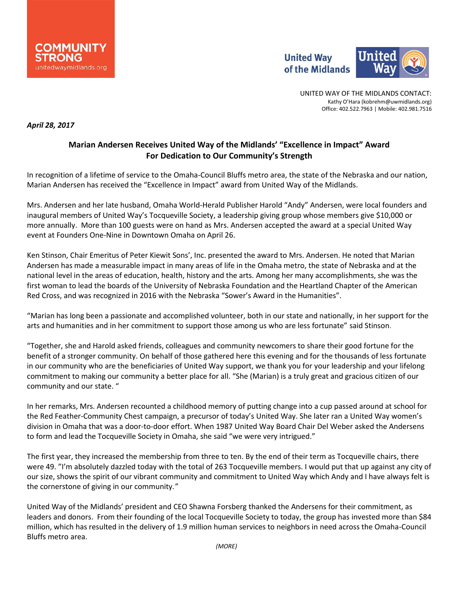



UNITED WAY OF THE MIDLANDS CONTACT: Kathy O'Hara (kobrehm@uwmidlands.org) Office: 402.522.7963 | Mobile: 402.981.7516

*April 28, 2017*

## **Marian Andersen Receives United Way of the Midlands' "Excellence in Impact" Award For Dedication to Our Community's Strength**

In recognition of a lifetime of service to the Omaha-Council Bluffs metro area, the state of the Nebraska and our nation, Marian Andersen has received the "Excellence in Impact" award from United Way of the Midlands.

Mrs. Andersen and her late husband, Omaha World-Herald Publisher Harold "Andy" Andersen, were local founders and inaugural members of United Way's Tocqueville Society, a leadership giving group whose members give \$10,000 or more annually. More than 100 guests were on hand as Mrs. Andersen accepted the award at a special United Way event at Founders One-Nine in Downtown Omaha on April 26.

Ken Stinson, Chair Emeritus of Peter Kiewit Sons', Inc. presented the award to Mrs. Andersen. He noted that Marian Andersen has made a measurable impact in many areas of life in the Omaha metro, the state of Nebraska and at the national level in the areas of education, health, history and the arts. Among her many accomplishments, she was the first woman to lead the boards of the University of Nebraska Foundation and the Heartland Chapter of the American Red Cross, and was recognized in 2016 with the Nebraska "Sower's Award in the Humanities".

"Marian has long been a passionate and accomplished volunteer, both in our state and nationally, in her support for the arts and humanities and in her commitment to support those among us who are less fortunate" said Stinson.

"Together, she and Harold asked friends, colleagues and community newcomers to share their good fortune for the benefit of a stronger community. On behalf of those gathered here this evening and for the thousands of less fortunate in our community who are the beneficiaries of United Way support, we thank you for your leadership and your lifelong commitment to making our community a better place for all. "She (Marian) is a truly great and gracious citizen of our community and our state. "

In her remarks, Mrs. Andersen recounted a childhood memory of putting change into a cup passed around at school for the Red Feather-Community Chest campaign, a precursor of today's United Way. She later ran a United Way women's division in Omaha that was a door-to-door effort. When 1987 United Way Board Chair Del Weber asked the Andersens to form and lead the Tocqueville Society in Omaha, she said "we were very intrigued."

The first year, they increased the membership from three to ten. By the end of their term as Tocqueville chairs, there were 49. "I'm absolutely dazzled today with the total of 263 Tocqueville members. I would put that up against any city of our size, shows the spirit of our vibrant community and commitment to United Way which Andy and I have always felt is the cornerstone of giving in our community*."*

United Way of the Midlands' president and CEO Shawna Forsberg thanked the Andersens for their commitment, as leaders and donors. From their founding of the local Tocqueville Society to today, the group has invested more than \$84 million, which has resulted in the delivery of 1.9 million human services to neighbors in need across the Omaha-Council Bluffs metro area.